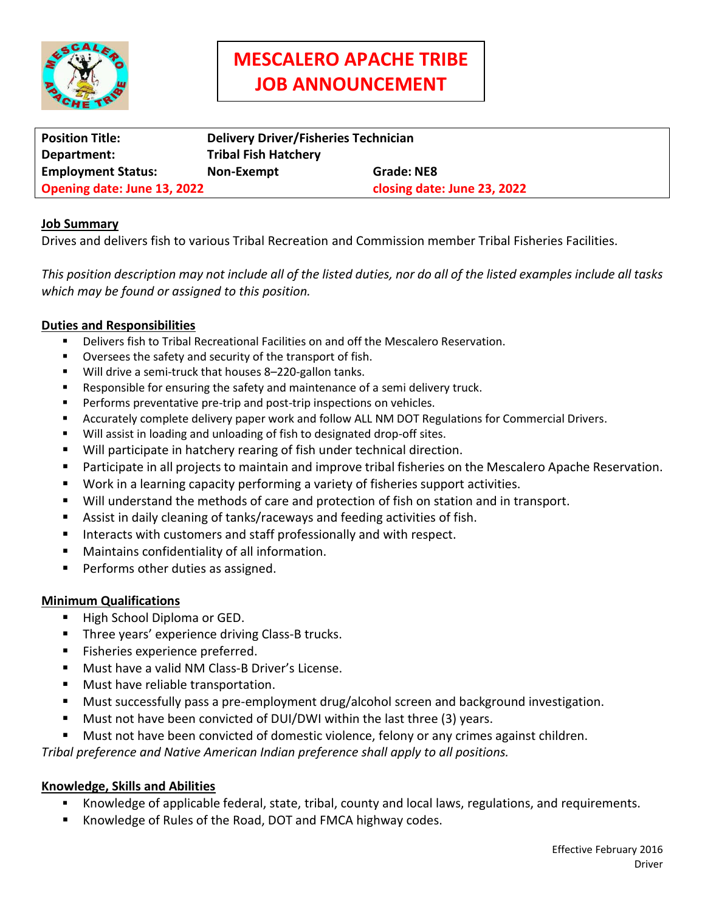

# **MESCALERO APACHE TRIBE JOB ANNOUNCEMENT**

| <b>Position Title:</b>      | <b>Delivery Driver/Fisheries Technician</b> |                             |
|-----------------------------|---------------------------------------------|-----------------------------|
| Department:                 | <b>Tribal Fish Hatchery</b>                 |                             |
| <b>Employment Status:</b>   | Non-Exempt                                  | Grade: NE8                  |
| Opening date: June 13, 2022 |                                             | closing date: June 23, 2022 |

### **Job Summary**

Drives and delivers fish to various Tribal Recreation and Commission member Tribal Fisheries Facilities.

*This position description may not include all of the listed duties, nor do all of the listed examples include all tasks which may be found or assigned to this position.*

## **Duties and Responsibilities**

- Delivers fish to Tribal Recreational Facilities on and off the Mescalero Reservation.
- Oversees the safety and security of the transport of fish.
- Will drive a semi-truck that houses 8-220-gallon tanks.
- Responsible for ensuring the safety and maintenance of a semi delivery truck.
- Performs preventative pre-trip and post-trip inspections on vehicles.
- Accurately complete delivery paper work and follow ALL NM DOT Regulations for Commercial Drivers.
- Will assist in loading and unloading of fish to designated drop-off sites.
- Will participate in hatchery rearing of fish under technical direction.
- **Participate in all projects to maintain and improve tribal fisheries on the Mescalero Apache Reservation.**
- Work in a learning capacity performing a variety of fisheries support activities.
- Will understand the methods of care and protection of fish on station and in transport.
- Assist in daily cleaning of tanks/raceways and feeding activities of fish.
- Interacts with customers and staff professionally and with respect.
- Maintains confidentiality of all information.
- Performs other duties as assigned.

### **Minimum Qualifications**

- High School Diploma or GED.
- Three years' experience driving Class-B trucks.
- Fisheries experience preferred.
- Must have a valid NM Class-B Driver's License.
- Must have reliable transportation.
- Must successfully pass a pre-employment drug/alcohol screen and background investigation.
- Must not have been convicted of DUI/DWI within the last three (3) years.
- Must not have been convicted of domestic violence, felony or any crimes against children.

*Tribal preference and Native American Indian preference shall apply to all positions.*

### **Knowledge, Skills and Abilities**

- Knowledge of applicable federal, state, tribal, county and local laws, regulations, and requirements.
- Knowledge of Rules of the Road, DOT and FMCA highway codes.